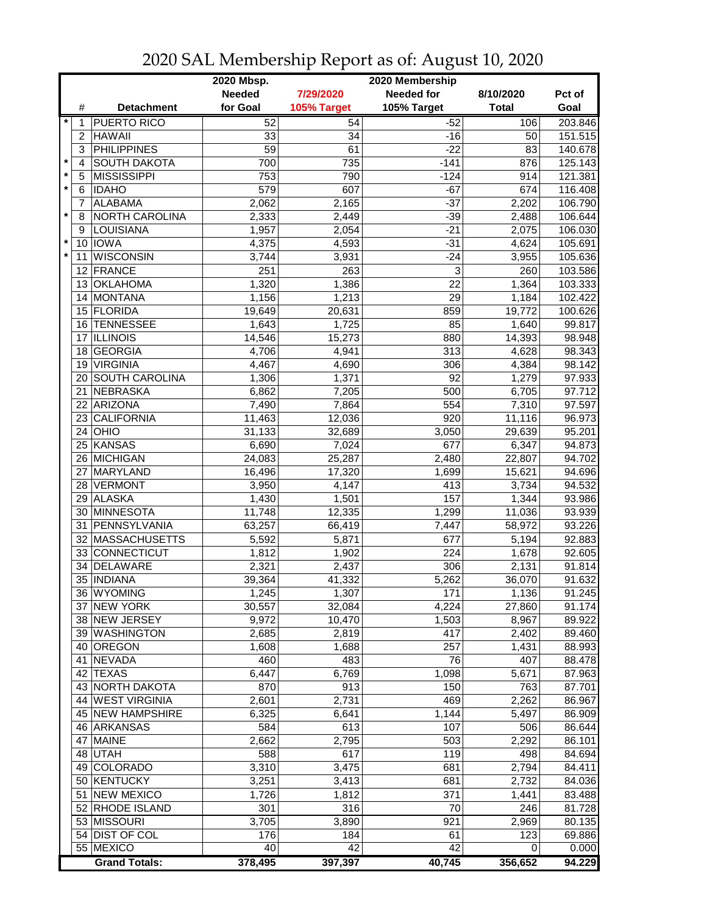|                           |                       | 2020 Mbsp.    |             | 2020 Membership |              |         |
|---------------------------|-----------------------|---------------|-------------|-----------------|--------------|---------|
|                           |                       | <b>Needed</b> | 7/29/2020   | Needed for      | 8/10/2020    | Pct of  |
| #                         | <b>Detachment</b>     | for Goal      | 105% Target | 105% Target     | <b>Total</b> | Goal    |
| $\ast$<br>1               | PUERTO RICO           | 52            | 54          | $-52$           | 106          | 203.846 |
| $\overline{2}$            | <b>HAWAII</b>         | 33            | 34          | $-16$           | 50           | 151.515 |
| 3                         | <b>PHILIPPINES</b>    | 59            | 61          | $-22$           | 83           | 140.678 |
| $\star$<br>$\overline{4}$ | <b>SOUTH DAKOTA</b>   | 700           | 735         | $-141$          | 876          | 125.143 |
| $\ast$<br>5               | <b>MISSISSIPPI</b>    | 753           | 790         | $-124$          | 914          | 121.381 |
| $\star$<br>6              | <b>IDAHO</b>          | 579           | 607         | $-67$           | 674          | 116.408 |
| 7                         | <b>ALABAMA</b>        | 2,062         | 2,165       | $-37$           | 2,202        | 106.790 |
| $\star$<br>8              | NORTH CAROLINA        | 2,333         | 2,449       | $-39$           | 2,488        | 106.644 |
| 9                         | LOUISIANA             | 1,957         | 2,054       | $-21$           | 2,075        | 106.030 |
|                           | 10 <b>IOWA</b>        | 4,375         | 4,593       | $-31$           | 4,624        | 105.691 |
| $\star$<br>11             | <b>WISCONSIN</b>      | 3,744         | 3,931       | $-24$           | 3,955        | 105.636 |
| 12 <sup>°</sup>           | FRANCE                | 251           | 263         | 3               | 260          | 103.586 |
| 13                        | <b>OKLAHOMA</b>       | 1,320         | 1,386       | $\overline{22}$ | 1,364        | 103.333 |
| 14                        | MONTANA               | 1,156         | 1,213       | 29              | 1,184        | 102.422 |
| 15                        | FLORIDA               | 19,649        | 20,631      | 859             | 19,772       | 100.626 |
| 16                        | <b>TENNESSEE</b>      | 1,643         | 1,725       | 85              | 1,640        | 99.817  |
| 17                        | <b>ILLINOIS</b>       | 14,546        | 15,273      | 880             | 14,393       | 98.948  |
| 18                        | GEORGIA               | 4,706         | 4,941       | 313             | 4,628        | 98.343  |
| 19                        | <b>VIRGINIA</b>       | 4,467         | 4,690       | 306             | 4,384        | 98.142  |
| 20                        | <b>SOUTH CAROLINA</b> | 1,306         | 1,371       | 92              | 1,279        | 97.933  |
| 21                        | NEBRASKA              | 6,862         | 7,205       | 500             | 6,705        | 97.712  |
| 22                        | ARIZONA               | 7,490         | 7,864       | 554             | 7,310        | 97.597  |
| 23                        | <b>CALIFORNIA</b>     | 11,463        | 12,036      | 920             | 11,116       | 96.973  |
| 24                        | <b>OHIO</b>           | 31,133        | 32,689      | 3,050           | 29,639       | 95.201  |
|                           | 25 KANSAS             | 6,690         | 7,024       | 677             | 6,347        | 94.873  |
|                           | 26 MICHIGAN           | 24,083        | 25,287      | 2,480           | 22,807       | 94.702  |
| 27                        | MARYLAND              | 16,496        | 17,320      | 1,699           | 15,621       | 94.696  |
|                           | 28 VERMONT            | 3,950         | 4,147       | 413             | 3,734        | 94.532  |
|                           | 29 ALASKA             | 1,430         | 1,501       | 157             | 1,344        | 93.986  |
|                           | 30 MINNESOTA          | 11,748        | 12,335      | 1,299           | 11,036       | 93.939  |
| 31                        | PENNSYLVANIA          | 63,257        | 66,419      | 7,447           | 58,972       | 93.226  |
| 32                        | MASSACHUSETTS         | 5,592         | 5,871       | 677             | 5,194        | 92.883  |
| 33                        | CONNECTICUT           | 1,812         | 1,902       | 224             | 1,678        | 92.605  |
| 34                        | <b>DELAWARE</b>       | 2,321         | 2,437       | 306             | 2,131        | 91.814  |
| 35                        | <b>INDIANA</b>        | 39,364        | 41,332      | 5,262           | 36,070       | 91.632  |
|                           | 36 WYOMING            | 1,245         | 1,307       | 171             | 1,136        | 91.245  |
|                           | 37 NEW YORK           | 30,557        | 32,084      | 4,224           | 27,860       | 91.174  |
|                           | 38 NEW JERSEY         | 9,972         | 10,470      | 1,503           | 8,967        | 89.922  |
|                           | 39 WASHINGTON         | 2,685         | 2,819       | 417             | 2,402        | 89.460  |
|                           | 40 OREGON             | 1,608         | 1,688       | 257             | 1,431        | 88.993  |
|                           | 41 NEVADA             | 460           | 483         | 76              | 407          | 88.478  |
|                           | 42 TEXAS              | 6,447         | 6,769       | 1,098           | 5,671        | 87.963  |
|                           | 43 NORTH DAKOTA       | 870           | 913         | 150             | 763          | 87.701  |
|                           | 44 WEST VIRGINIA      | 2,601         | 2,731       | 469             | 2,262        | 86.967  |
|                           | 45 NEW HAMPSHIRE      | 6,325         | 6,641       | 1,144           | 5,497        | 86.909  |
|                           | 46 ARKANSAS           | 584           | 613         | 107             | 506          | 86.644  |
|                           | 47 MAINE              | 2,662         | 2,795       | 503             | 2,292        | 86.101  |
|                           | 48 UTAH               | 588           | 617         | 119             | 498          | 84.694  |
|                           | 49 COLORADO           | 3,310         | 3,475       | 681             | 2,794        | 84.411  |
|                           | 50 KENTUCKY           | 3,251         | 3,413       | 681             | 2,732        | 84.036  |
|                           | 51 NEW MEXICO         | 1,726         | 1,812       | 371             | 1,441        | 83.488  |
|                           | 52 RHODE ISLAND       | 301           | 316         | 70              | 246          | 81.728  |
|                           | 53 MISSOURI           | 3,705         | 3,890       | 921             | 2,969        | 80.135  |
|                           | 54 DIST OF COL        | 176           | 184         | 61              | 123          | 69.886  |
|                           | 55 MEXICO             | 40            | 42          | 42              | 0            | 0.000   |
|                           | <b>Grand Totals:</b>  | 378,495       | 397,397     | 40,745          | 356,652      | 94.229  |

## 2020 SAL Membership Report as of: August 10, 2020